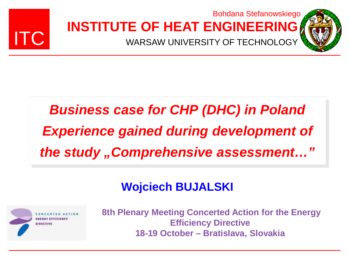

#### **INSTITUTE OF HEAT ENGINEERING** Bohdana Stefanowskiego

WARSAW UNIVERSITY OF TECHNOLOGY

### *Business case for CHP (DHC) in Poland Experience gained during development of the study "Comprehensive assessment…"*

#### **Wojciech BUJALSKI**



**8th Plenary Meeting Concerted Action for the Energy Efficiency Directive 18-19 October – Bratislava, Slovakia**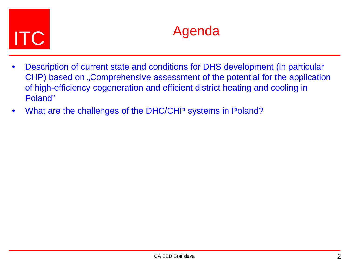# ITC Agenda

- Description of current state and conditions for DHS development (in particular CHP) based on "Comprehensive assessment of the potential for the application of high-efficiency cogeneration and efficient district heating and cooling in Poland"
- What are the challenges of the DHC/CHP systems in Poland?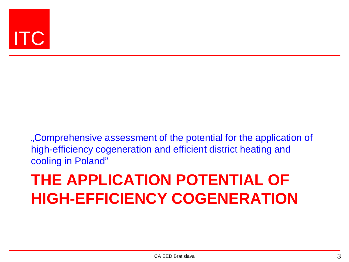

"Comprehensive assessment of the potential for the application of high-efficiency cogeneration and efficient district heating and cooling in Poland"

### **THE APPLICATION POTENTIAL OF HIGH-EFFICIENCY COGENERATION**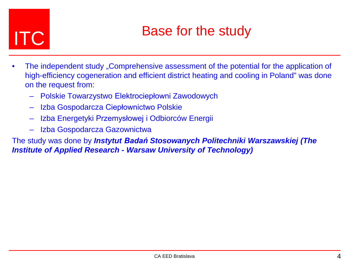## **ITC** Base for the study

- The independent study "Comprehensive assessment of the potential for the application of high-efficiency cogeneration and efficient district heating and cooling in Poland" was done on the request from:
	- Polskie Towarzystwo Elektrociepłowni Zawodowych
	- Izba Gospodarcza Ciepłownictwo Polskie
	- Izba Energetyki Przemysłowej i Odbiorców Energii
	- Izba Gospodarcza Gazownictwa

The study was done by *Instytut Badań Stosowanych Politechniki Warszawskiej (The Institute of Applied Research - Warsaw University of Technology)*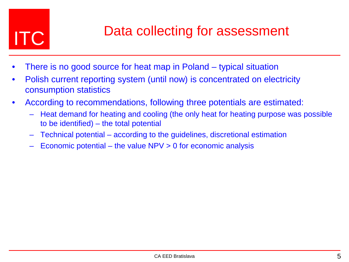

## **ITC** Data collecting for assessment

- There is no good source for heat map in Poland typical situation
- Polish current reporting system (until now) is concentrated on electricity consumption statistics
- According to recommendations, following three potentials are estimated:
	- Heat demand for heating and cooling (the only heat for heating purpose was possible to be identified) – the total potential
	- Technical potential according to the guidelines, discretional estimation
	- Economic potential the value  $NPV > 0$  for economic analysis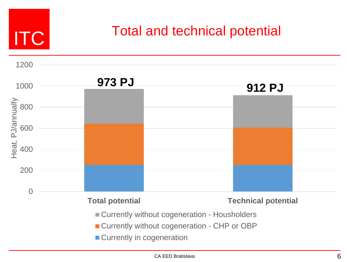

# **ITC** Total and technical potential



- **Currently without cogeneration CHP or OBP**
- **Currently in cogeneration**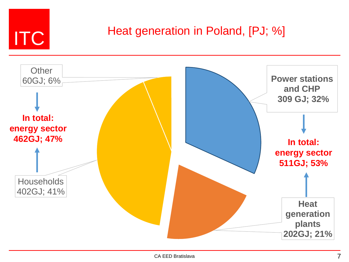

# **ITC** Heat generation in Poland, [PJ; %]

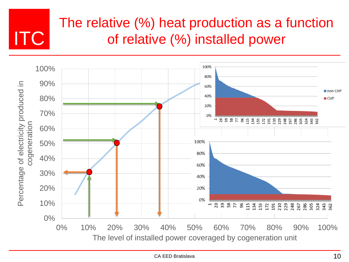### The relative (%) heat production as a function of relative (%) installed power

ITC

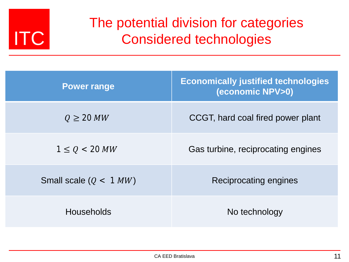

#### The potential division for categories Considered technologies

| <b>Power range</b>       | <b>Economically justified technologies</b><br>(economic NPV>0) |
|--------------------------|----------------------------------------------------------------|
| $Q \geq 20$ MW           | CCGT, hard coal fired power plant                              |
| $1 \le Q < 20 MW$        | Gas turbine, reciprocating engines                             |
| Small scale $(Q < 1 MW)$ | Reciprocating engines                                          |
| <b>Households</b>        | No technology                                                  |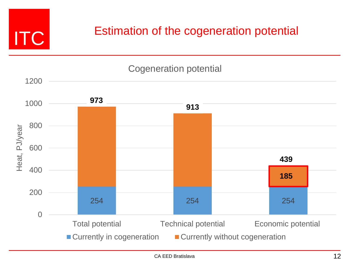

#### Estimation of the cogeneration potential

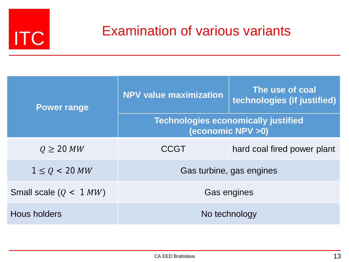

# **ITC** Examination of various variants

| <b>Power range</b>       | <b>NPV value maximization</b>                                   | The use of coal<br>technologies (if justified) |  |
|--------------------------|-----------------------------------------------------------------|------------------------------------------------|--|
|                          | <b>Technologies economically justified</b><br>(economic NPV >0) |                                                |  |
| $Q \geq 20$ MW           | <b>CCGT</b>                                                     | hard coal fired power plant                    |  |
| $1 \le Q < 20 MW$        | Gas turbine, gas engines                                        |                                                |  |
| Small scale $(Q < 1 MW)$ | Gas engines                                                     |                                                |  |
| Hous holders             | No technology                                                   |                                                |  |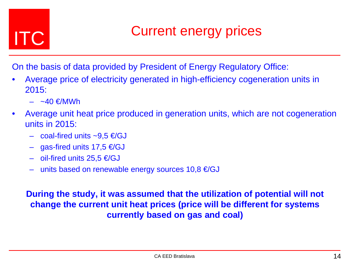## **ITC Current energy prices**

On the basis of data provided by President of Energy Regulatory Office:

- Average price of electricity generated in high-efficiency cogeneration units in 2015:
	- $-$  ~40  $\in$ /MWh
- Average unit heat price produced in generation units, which are not cogeneration units in 2015:
	- $-$  coal-fired units ~9.5 €/GJ
	- $-$  gas-fired units 17,5 €/GJ
	- $-$  oil-fired units 25,5 €/GJ
	- $−$  units based on renewable energy sources 10,8  $€/GJ$

**During the study, it was assumed that the utilization of potential will not change the current unit heat prices (price will be different for systems currently based on gas and coal)**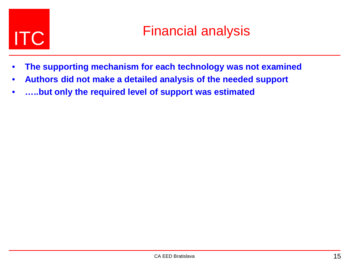- **The supporting mechanism for each technology was not examined**
- **Authors did not make a detailed analysis of the needed support**
- **…..but only the required level of support was estimated**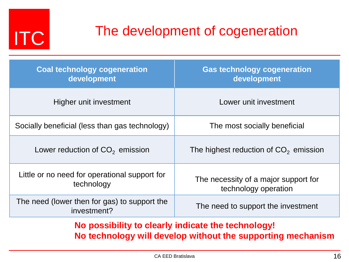

# **ITC** The development of cogeneration

| <b>Coal technology cogeneration</b><br>development          | <b>Gas technology cogeneration</b><br>development            |
|-------------------------------------------------------------|--------------------------------------------------------------|
| Higher unit investment                                      | Lower unit investment                                        |
| Socially beneficial (less than gas technology)              | The most socially beneficial                                 |
| Lower reduction of $CO2$ emission                           | The highest reduction of $CO2$ emission                      |
| Little or no need for operational support for<br>technology | The necessity of a major support for<br>technology operation |
| The need (lower then for gas) to support the<br>investment? | The need to support the investment                           |

**No possibility to clearly indicate the technology! No technology will develop without the supporting mechanism**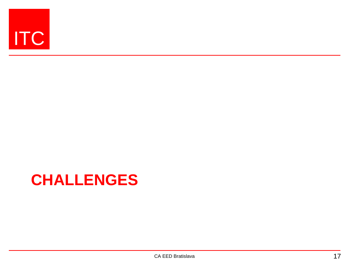

### **CHALLENGES**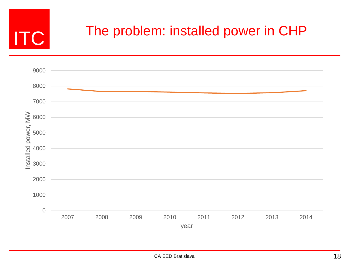

## **ITC** The problem: installed power in CHP

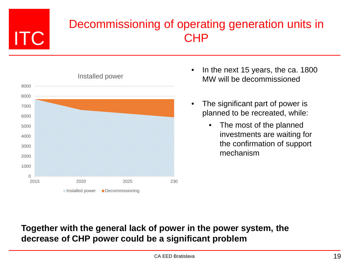# ITC

#### Decommissioning of operating generation units in CHP



- In the next 15 years, the ca. 1800 MW will be decommissioned
- The significant part of power is planned to be recreated, while:
	- The most of the planned investments are waiting for the confirmation of support mechanism

#### **Together with the general lack of power in the power system, the decrease of CHP power could be a significant problem**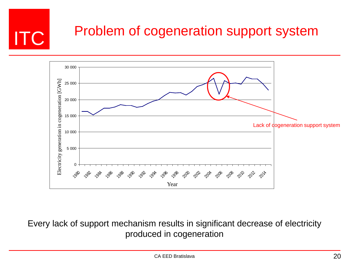



Every lack of support mechanism results in significant decrease of electricity produced in cogeneration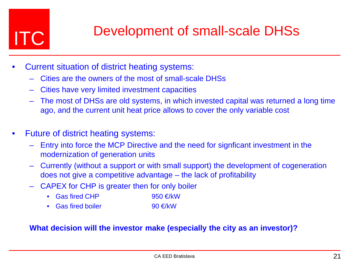## ITC Development of small-scale DHSs

- Current situation of district heating systems:
	- Cities are the owners of the most of small-scale DHSs
	- Cities have very limited investment capacities
	- The most of DHSs are old systems, in which invested capital was returned a long time ago, and the current unit heat price allows to cover the only variable cost
- Future of district heating systems:
	- Entry into force the MCP Directive and the need for signficant investment in the modernization of generation units
	- Currently (without a support or with small support) the development of cogeneration does not give a competitive advantage – the lack of profitability
	- CAPEX for CHP is greater then for only boiler
		- Gas fired CHP 950  $\epsilon/kW$
		- Gas fired boiler 90  $\in$ /kW

#### **What decision will the investor make (especially the city as an investor)?**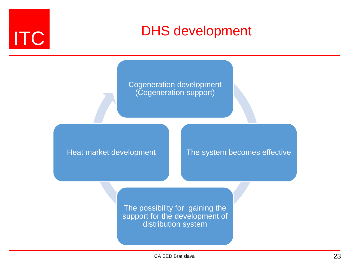

# ITC DHS development

Cogeneration development (Cogeneration support)

Heat market development

The system becomes effective

The possibility for gaining the support for the development of distribution system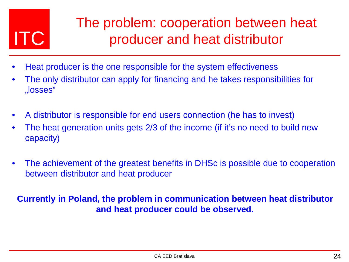# ITC

### The problem: cooperation between heat producer and heat distributor

- Heat producer is the one responsible for the system effectiveness
- The only distributor can apply for financing and he takes responsibilities for "losses"
- A distributor is responsible for end users connection (he has to invest)
- The heat generation units gets 2/3 of the income (if it's no need to build new capacity)
- The achievement of the greatest benefits in DHSc is possible due to cooperation between distributor and heat producer

#### **Currently in Poland, the problem in communication between heat distributor and heat producer could be observed.**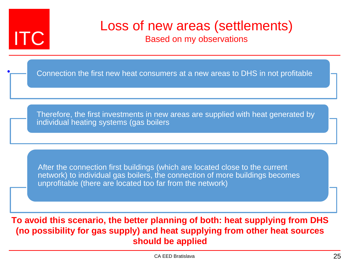

•

# **ITC** Loss of new areas (settlements)<br>**ITC**

Based on my observations

Connection the first new heat consumers at a new areas to DHS in not profitable

Therefore, the first investments in new areas are supplied with heat generated by individual heating systems (gas boilers

After the connection first buildings (which are located close to the current network) to individual gas boilers, the connection of more buildings becomes unprofitable (there are located too far from the network)

**To avoid this scenario, the better planning of both: heat supplying from DHS (no possibility for gas supply) and heat supplying from other heat sources should be applied**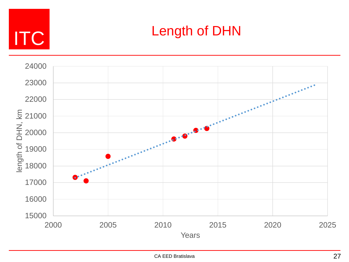

# ITC Length of DHN

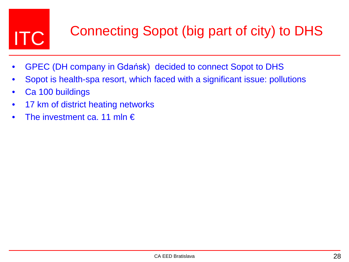# **ITC** Connecting Sopot (big part of city) to DHS

- GPEC (DH company in Gdańsk) decided to connect Sopot to DHS
- Sopot is health-spa resort, which faced with a significant issue: pollutions
- Ca 100 buildings
- 17 km of district heating networks
- The investment ca. 11 mln  $\epsilon$